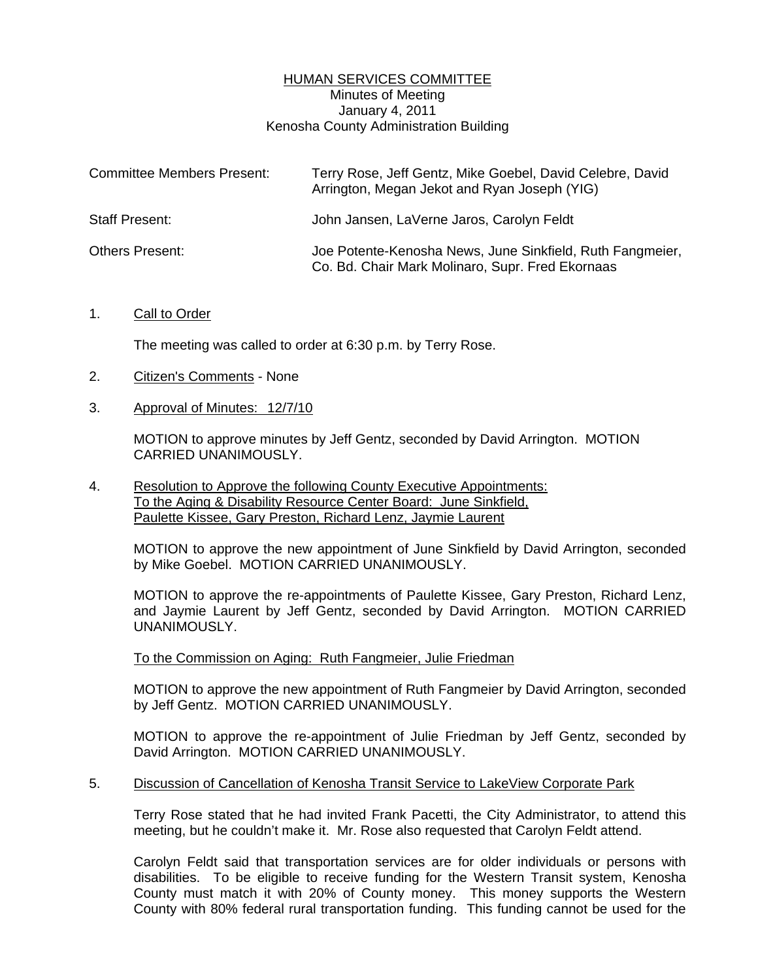## HUMAN SERVICES COMMITTEE Minutes of Meeting January 4, 2011 Kenosha County Administration Building

| <b>Committee Members Present:</b> | Terry Rose, Jeff Gentz, Mike Goebel, David Celebre, David<br>Arrington, Megan Jekot and Ryan Joseph (YIG)     |
|-----------------------------------|---------------------------------------------------------------------------------------------------------------|
| <b>Staff Present:</b>             | John Jansen, LaVerne Jaros, Carolyn Feldt                                                                     |
| <b>Others Present:</b>            | Joe Potente-Kenosha News, June Sinkfield, Ruth Fangmeier,<br>Co. Bd. Chair Mark Molinaro, Supr. Fred Ekornaas |

### 1. Call to Order

The meeting was called to order at 6:30 p.m. by Terry Rose.

- 2. Citizen's Comments None
- 3. Approval of Minutes: 12/7/10

 MOTION to approve minutes by Jeff Gentz, seconded by David Arrington. MOTION CARRIED UNANIMOUSLY.

4. Resolution to Approve the following County Executive Appointments: To the Aging & Disability Resource Center Board: June Sinkfield, Paulette Kissee, Gary Preston, Richard Lenz, Jaymie Laurent

 MOTION to approve the new appointment of June Sinkfield by David Arrington, seconded by Mike Goebel. MOTION CARRIED UNANIMOUSLY.

 MOTION to approve the re-appointments of Paulette Kissee, Gary Preston, Richard Lenz, and Jaymie Laurent by Jeff Gentz, seconded by David Arrington. MOTION CARRIED UNANIMOUSLY.

To the Commission on Aging: Ruth Fangmeier, Julie Friedman

 MOTION to approve the new appointment of Ruth Fangmeier by David Arrington, seconded by Jeff Gentz. MOTION CARRIED UNANIMOUSLY.

 MOTION to approve the re-appointment of Julie Friedman by Jeff Gentz, seconded by David Arrington. MOTION CARRIED UNANIMOUSLY.

# 5. Discussion of Cancellation of Kenosha Transit Service to LakeView Corporate Park

 Terry Rose stated that he had invited Frank Pacetti, the City Administrator, to attend this meeting, but he couldn't make it. Mr. Rose also requested that Carolyn Feldt attend.

 Carolyn Feldt said that transportation services are for older individuals or persons with disabilities. To be eligible to receive funding for the Western Transit system, Kenosha County must match it with 20% of County money. This money supports the Western County with 80% federal rural transportation funding. This funding cannot be used for the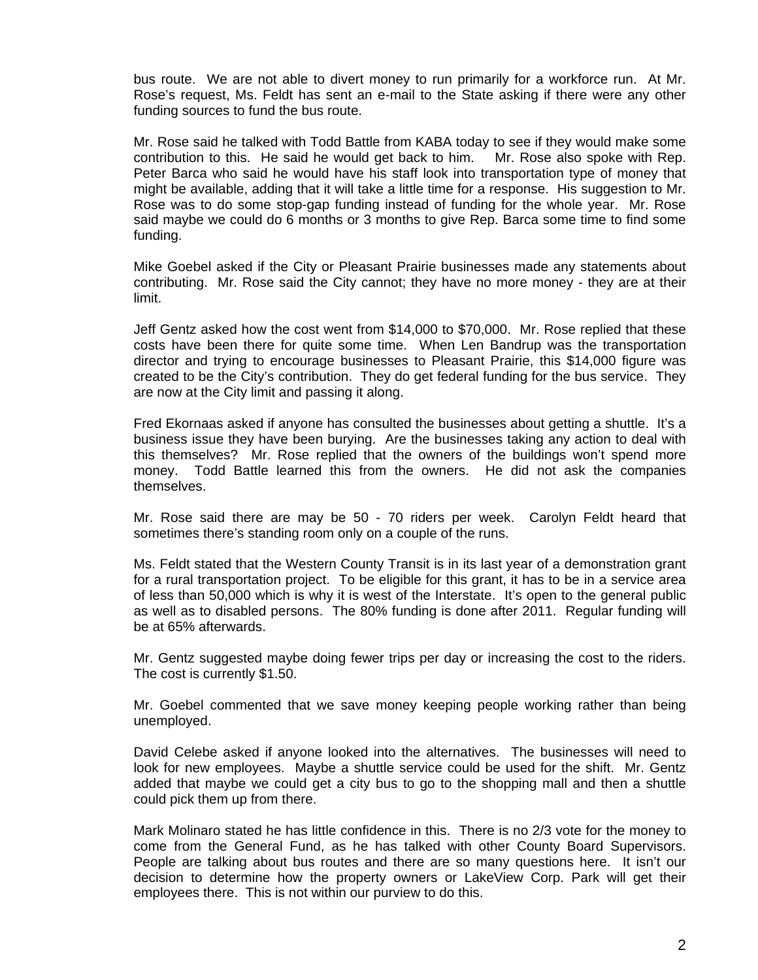bus route. We are not able to divert money to run primarily for a workforce run. At Mr. Rose's request, Ms. Feldt has sent an e-mail to the State asking if there were any other funding sources to fund the bus route.

 Mr. Rose said he talked with Todd Battle from KABA today to see if they would make some contribution to this. He said he would get back to him. Mr. Rose also spoke with Rep. Peter Barca who said he would have his staff look into transportation type of money that might be available, adding that it will take a little time for a response. His suggestion to Mr. Rose was to do some stop-gap funding instead of funding for the whole year. Mr. Rose said maybe we could do 6 months or 3 months to give Rep. Barca some time to find some funding.

 Mike Goebel asked if the City or Pleasant Prairie businesses made any statements about contributing. Mr. Rose said the City cannot; they have no more money - they are at their limit.

 Jeff Gentz asked how the cost went from \$14,000 to \$70,000. Mr. Rose replied that these costs have been there for quite some time. When Len Bandrup was the transportation director and trying to encourage businesses to Pleasant Prairie, this \$14,000 figure was created to be the City's contribution. They do get federal funding for the bus service. They are now at the City limit and passing it along.

 Fred Ekornaas asked if anyone has consulted the businesses about getting a shuttle. It's a business issue they have been burying. Are the businesses taking any action to deal with this themselves? Mr. Rose replied that the owners of the buildings won't spend more money. Todd Battle learned this from the owners. He did not ask the companies themselves.

 Mr. Rose said there are may be 50 - 70 riders per week. Carolyn Feldt heard that sometimes there's standing room only on a couple of the runs.

 Ms. Feldt stated that the Western County Transit is in its last year of a demonstration grant for a rural transportation project. To be eligible for this grant, it has to be in a service area of less than 50,000 which is why it is west of the Interstate. It's open to the general public as well as to disabled persons. The 80% funding is done after 2011. Regular funding will be at 65% afterwards.

 Mr. Gentz suggested maybe doing fewer trips per day or increasing the cost to the riders. The cost is currently \$1.50.

 Mr. Goebel commented that we save money keeping people working rather than being unemployed.

 David Celebe asked if anyone looked into the alternatives. The businesses will need to look for new employees. Maybe a shuttle service could be used for the shift. Mr. Gentz added that maybe we could get a city bus to go to the shopping mall and then a shuttle could pick them up from there.

 Mark Molinaro stated he has little confidence in this. There is no 2/3 vote for the money to come from the General Fund, as he has talked with other County Board Supervisors. People are talking about bus routes and there are so many questions here. It isn't our decision to determine how the property owners or LakeView Corp. Park will get their employees there. This is not within our purview to do this.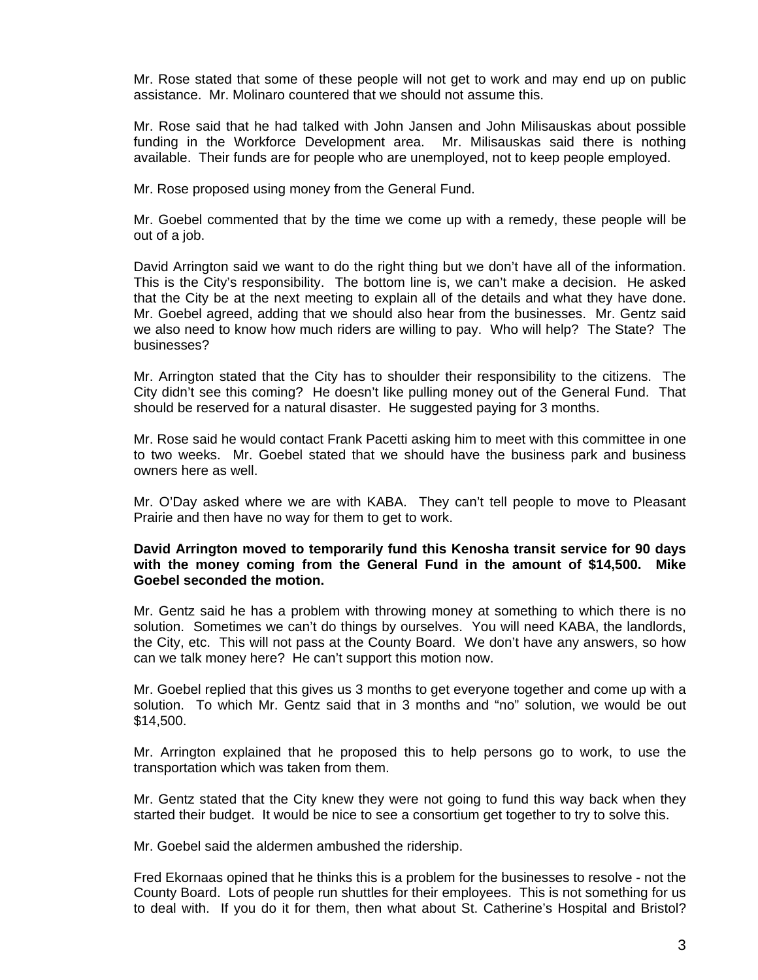Mr. Rose stated that some of these people will not get to work and may end up on public assistance. Mr. Molinaro countered that we should not assume this.

 Mr. Rose said that he had talked with John Jansen and John Milisauskas about possible funding in the Workforce Development area. Mr. Milisauskas said there is nothing available. Their funds are for people who are unemployed, not to keep people employed.

Mr. Rose proposed using money from the General Fund.

 Mr. Goebel commented that by the time we come up with a remedy, these people will be out of a job.

David Arrington said we want to do the right thing but we don't have all of the information. This is the City's responsibility. The bottom line is, we can't make a decision. He asked that the City be at the next meeting to explain all of the details and what they have done. Mr. Goebel agreed, adding that we should also hear from the businesses. Mr. Gentz said we also need to know how much riders are willing to pay. Who will help? The State? The businesses?

 Mr. Arrington stated that the City has to shoulder their responsibility to the citizens. The City didn't see this coming? He doesn't like pulling money out of the General Fund. That should be reserved for a natural disaster. He suggested paying for 3 months.

 Mr. Rose said he would contact Frank Pacetti asking him to meet with this committee in one to two weeks. Mr. Goebel stated that we should have the business park and business owners here as well.

 Mr. O'Day asked where we are with KABA. They can't tell people to move to Pleasant Prairie and then have no way for them to get to work.

### **David Arrington moved to temporarily fund this Kenosha transit service for 90 days with the money coming from the General Fund in the amount of \$14,500. Mike Goebel seconded the motion.**

 Mr. Gentz said he has a problem with throwing money at something to which there is no solution. Sometimes we can't do things by ourselves. You will need KABA, the landlords, the City, etc. This will not pass at the County Board. We don't have any answers, so how can we talk money here? He can't support this motion now.

 Mr. Goebel replied that this gives us 3 months to get everyone together and come up with a solution. To which Mr. Gentz said that in 3 months and "no" solution, we would be out \$14,500.

 Mr. Arrington explained that he proposed this to help persons go to work, to use the transportation which was taken from them.

 Mr. Gentz stated that the City knew they were not going to fund this way back when they started their budget. It would be nice to see a consortium get together to try to solve this.

Mr. Goebel said the aldermen ambushed the ridership.

 Fred Ekornaas opined that he thinks this is a problem for the businesses to resolve - not the County Board. Lots of people run shuttles for their employees. This is not something for us to deal with. If you do it for them, then what about St. Catherine's Hospital and Bristol?